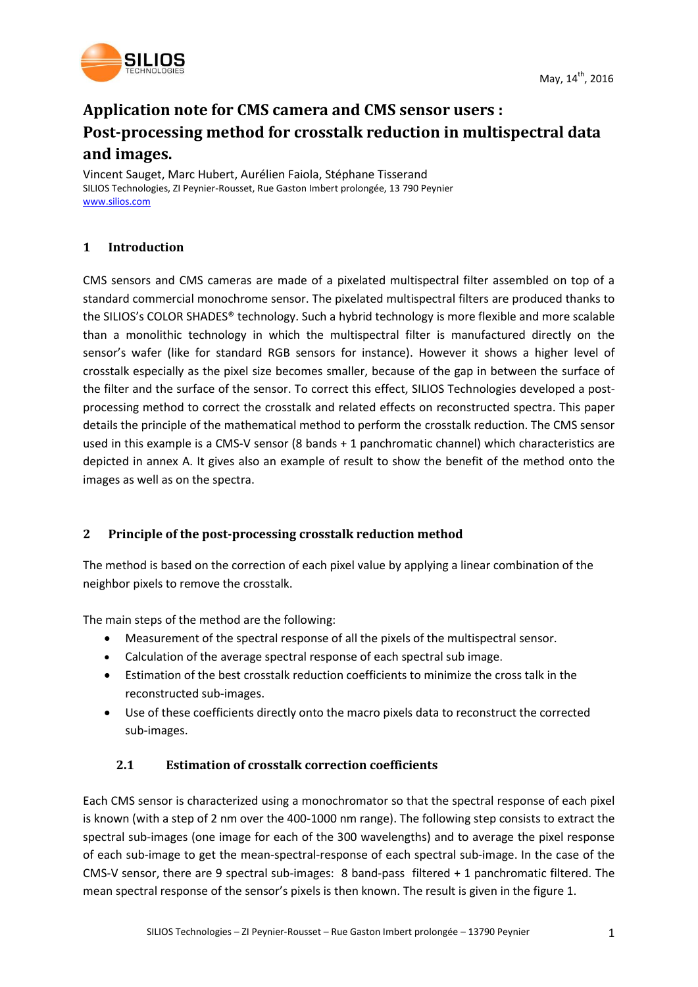

# **Application note for CMS camera and CMS sensor users : Post-processing method for crosstalk reduction in multispectral data and images.**

Vincent Sauget, Marc Hubert, Aurélien Faiola, Stéphane Tisserand SILIOS Technologies, ZI Peynier-Rousset, Rue Gaston Imbert prolongée, 13 790 Peynier [www.silios.com](http://www.silios.com/)

# **1 Introduction**

CMS sensors and CMS cameras are made of a pixelated multispectral filter assembled on top of a standard commercial monochrome sensor. The pixelated multispectral filters are produced thanks to the SILIOS's COLOR SHADES® technology. Such a hybrid technology is more flexible and more scalable than a monolithic technology in which the multispectral filter is manufactured directly on the sensor's wafer (like for standard RGB sensors for instance). However it shows a higher level of crosstalk especially as the pixel size becomes smaller, because of the gap in between the surface of the filter and the surface of the sensor. To correct this effect, SILIOS Technologies developed a postprocessing method to correct the crosstalk and related effects on reconstructed spectra. This paper details the principle of the mathematical method to perform the crosstalk reduction. The CMS sensor used in this example is a CMS-V sensor (8 bands + 1 panchromatic channel) which characteristics are depicted in annex A. It gives also an example of result to show the benefit of the method onto the images as well as on the spectra.

# **2 Principle of the post-processing crosstalk reduction method**

The method is based on the correction of each pixel value by applying a linear combination of the neighbor pixels to remove the crosstalk.

The main steps of the method are the following:

- Measurement of the spectral response of all the pixels of the multispectral sensor.
- Calculation of the average spectral response of each spectral sub image.
- Estimation of the best crosstalk reduction coefficients to minimize the cross talk in the reconstructed sub-images.
- Use of these coefficients directly onto the macro pixels data to reconstruct the corrected sub-images.

# **2.1 Estimation of crosstalk correction coefficients**

Each CMS sensor is characterized using a monochromator so that the spectral response of each pixel is known (with a step of 2 nm over the 400-1000 nm range). The following step consists to extract the spectral sub-images (one image for each of the 300 wavelengths) and to average the pixel response of each sub-image to get the mean-spectral-response of each spectral sub-image. In the case of the CMS-V sensor, there are 9 spectral sub-images: 8 band-pass filtered + 1 panchromatic filtered. The mean spectral response of the sensor's pixels is then known. The result is given in the figure 1.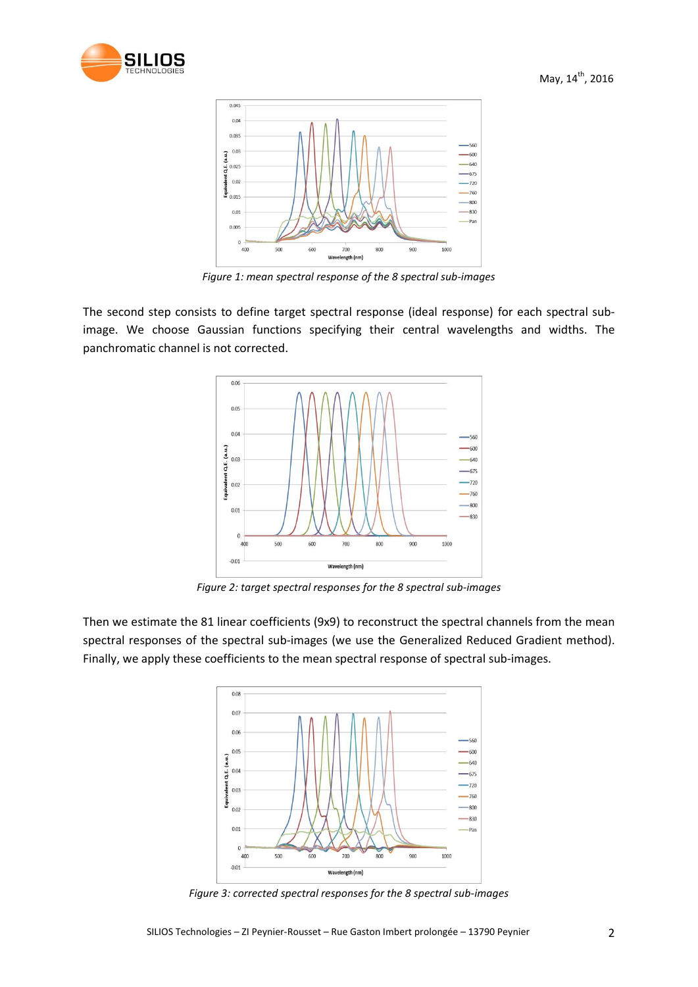



*Figure 1: mean spectral response of the 8 spectral sub-images*

The second step consists to define target spectral response (ideal response) for each spectral subimage. We choose Gaussian functions specifying their central wavelengths and widths. The panchromatic channel is not corrected.



*Figure 2: target spectral responses for the 8 spectral sub-images*

Then we estimate the 81 linear coefficients (9x9) to reconstruct the spectral channels from the mean spectral responses of the spectral sub-images (we use the Generalized Reduced Gradient method). Finally, we apply these coefficients to the mean spectral response of spectral sub-images.



*Figure 3: corrected spectral responses for the 8 spectral sub-images*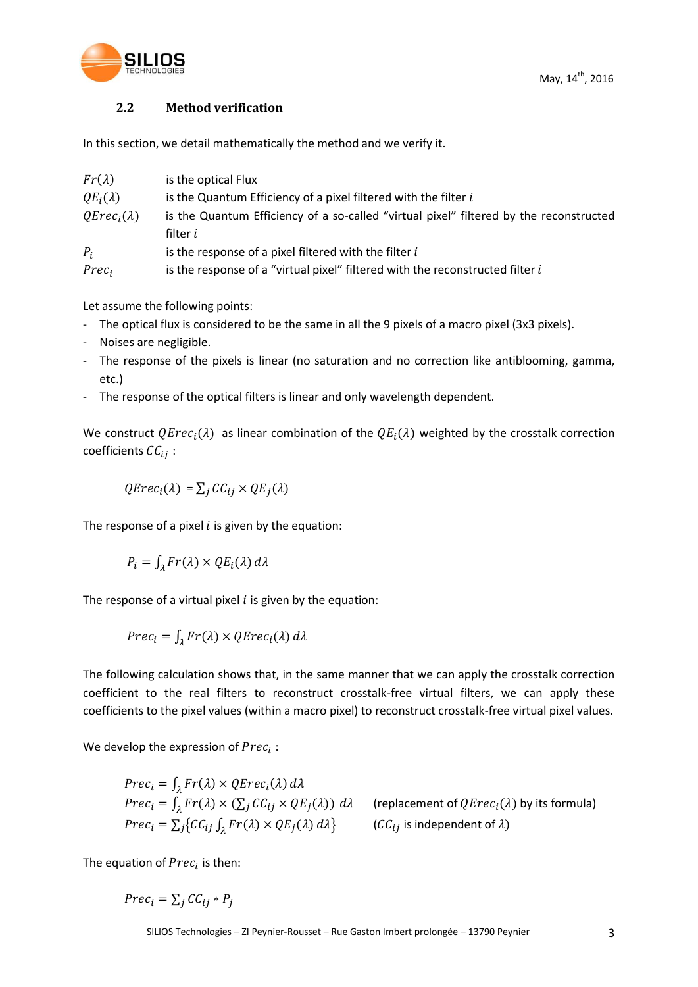

#### **2.2 Method verification**

In this section, we detail mathematically the method and we verify it.

| $Fr(\lambda)$     | is the optical Flux                                                                    |
|-------------------|----------------------------------------------------------------------------------------|
| $QE_i(\lambda)$   | is the Quantum Efficiency of a pixel filtered with the filter $i$                      |
| $QEreci(\lambda)$ | is the Quantum Efficiency of a so-called "virtual pixel" filtered by the reconstructed |
|                   | filter <i>i</i>                                                                        |
| $P_i$             | is the response of a pixel filtered with the filter $i$                                |
| $Prec_i$          | is the response of a "virtual pixel" filtered with the reconstructed filter i          |

Let assume the following points:

- The optical flux is considered to be the same in all the 9 pixels of a macro pixel (3x3 pixels).
- Noises are negligible.
- The response of the pixels is linear (no saturation and no correction like antiblooming, gamma, etc.)
- The response of the optical filters is linear and only wavelength dependent.

We construct  $QErec_i(\lambda)$  as linear combination of the  $QE_i(\lambda)$  weighted by the crosstalk correction coefficients  $\mathcal{C}\mathcal{C}_{ij}$ :

 $QErec_i(\lambda) = \sum_i CC_{ii} \times QE_i(\lambda)$ 

The response of a pixel  $i$  is given by the equation:

$$
P_i = \int_{\lambda} Fr(\lambda) \times QE_i(\lambda) d\lambda
$$

The response of a virtual pixel  $i$  is given by the equation:

$$
Prec_i = \int_{\lambda} Fr(\lambda) \times QErec_i(\lambda) d\lambda
$$

The following calculation shows that, in the same manner that we can apply the crosstalk correction coefficient to the real filters to reconstruct crosstalk-free virtual filters, we can apply these coefficients to the pixel values (within a macro pixel) to reconstruct crosstalk-free virtual pixel values.

We develop the expression of  $Prec_i$ :

$$
Prec_i = \int_{\lambda} Fr(\lambda) \times QErec_i(\lambda) d\lambda
$$
  
\n
$$
Prec_i = \int_{\lambda} Fr(\lambda) \times (\sum_{j} CC_{ij} \times QE_j(\lambda)) d\lambda
$$
 (replacement of  $QErec_i(\lambda)$  by its formula)  
\n
$$
Prec_i = \sum_{j} \{ CC_{ij} \int_{\lambda} Fr(\lambda) \times QE_j(\lambda) d\lambda \}
$$
 ( $CC_{ij}$  is independent of  $\lambda$ )

The equation of  $Prec_i$  is then:

 $Prec_i = \sum_i CC_{ii} * P_i$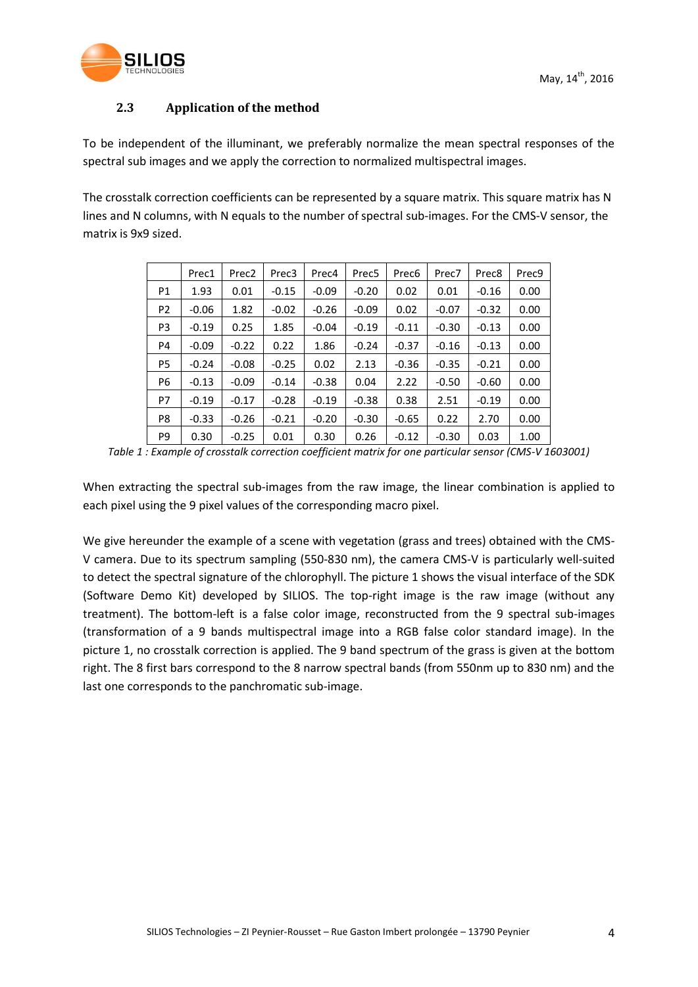

# **2.3 Application of the method**

To be independent of the illuminant, we preferably normalize the mean spectral responses of the spectral sub images and we apply the correction to normalized multispectral images.

The crosstalk correction coefficients can be represented by a square matrix. This square matrix has N lines and N columns, with N equals to the number of spectral sub-images. For the CMS-V sensor, the matrix is 9x9 sized.

|                | Prec1   | Prec <sub>2</sub> | Prec3   | Prec4   | Prec <sub>5</sub> | Prec6   | Prec7   | Prec8   | Prec9 |
|----------------|---------|-------------------|---------|---------|-------------------|---------|---------|---------|-------|
| P1             | 1.93    | 0.01              | $-0.15$ | $-0.09$ | $-0.20$           | 0.02    | 0.01    | $-0.16$ | 0.00  |
| P <sub>2</sub> | $-0.06$ | 1.82              | $-0.02$ | $-0.26$ | $-0.09$           | 0.02    | $-0.07$ | $-0.32$ | 0.00  |
| P <sub>3</sub> | $-0.19$ | 0.25              | 1.85    | $-0.04$ | $-0.19$           | $-0.11$ | $-0.30$ | $-0.13$ | 0.00  |
| P4             | $-0.09$ | $-0.22$           | 0.22    | 1.86    | $-0.24$           | $-0.37$ | $-0.16$ | $-0.13$ | 0.00  |
| P <sub>5</sub> | $-0.24$ | $-0.08$           | $-0.25$ | 0.02    | 2.13              | $-0.36$ | $-0.35$ | $-0.21$ | 0.00  |
| P <sub>6</sub> | $-0.13$ | $-0.09$           | $-0.14$ | $-0.38$ | 0.04              | 2.22    | $-0.50$ | $-0.60$ | 0.00  |
| P7             | $-0.19$ | $-0.17$           | $-0.28$ | $-0.19$ | $-0.38$           | 0.38    | 2.51    | $-0.19$ | 0.00  |
| P8             | $-0.33$ | $-0.26$           | $-0.21$ | $-0.20$ | $-0.30$           | $-0.65$ | 0.22    | 2.70    | 0.00  |
| P <sub>9</sub> | 0.30    | $-0.25$           | 0.01    | 0.30    | 0.26              | $-0.12$ | $-0.30$ | 0.03    | 1.00  |

*Table 1 : Example of crosstalk correction coefficient matrix for one particular sensor (CMS-V 1603001)*

When extracting the spectral sub-images from the raw image, the linear combination is applied to each pixel using the 9 pixel values of the corresponding macro pixel.

We give hereunder the example of a scene with vegetation (grass and trees) obtained with the CMS-V camera. Due to its spectrum sampling (550-830 nm), the camera CMS-V is particularly well-suited to detect the spectral signature of the chlorophyll. The picture 1 shows the visual interface of the SDK (Software Demo Kit) developed by SILIOS. The top-right image is the raw image (without any treatment). The bottom-left is a false color image, reconstructed from the 9 spectral sub-images (transformation of a 9 bands multispectral image into a RGB false color standard image). In the picture 1, no crosstalk correction is applied. The 9 band spectrum of the grass is given at the bottom right. The 8 first bars correspond to the 8 narrow spectral bands (from 550nm up to 830 nm) and the last one corresponds to the panchromatic sub-image.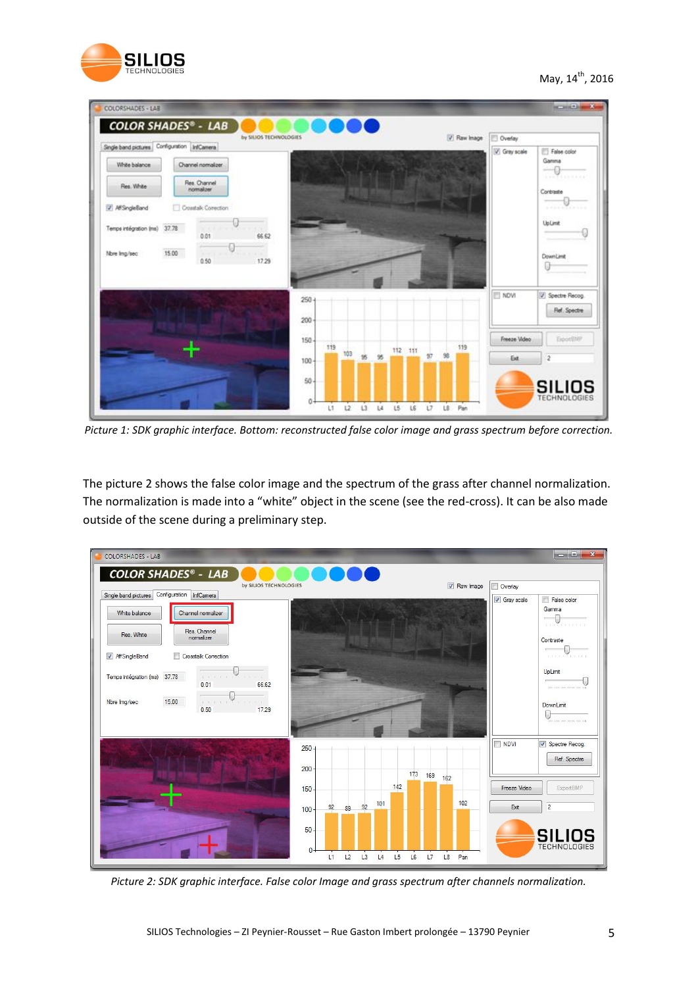

May, 14<sup>th</sup>, 2016

| Single band pictures Configuration InfCamera |                                   |                         | by SILIOS TECHNOLOGIES |     |         |    |    |         |    |   | V Raw Inage | <b>Dverlay</b> |                                                        |
|----------------------------------------------|-----------------------------------|-------------------------|------------------------|-----|---------|----|----|---------|----|---|-------------|----------------|--------------------------------------------------------|
| White balance                                | Channel nomalizer<br>Res. Channel |                         |                        |     |         |    |    |         |    |   |             | C Gray scale   | False color<br>Gamma<br>$-0$<br>$+100$ T + 1 + 2 + 1 + |
| Res. White<br>/ AffSingleBand                | nomakrer<br>Crosstak Corection    |                         |                        |     |         |    |    |         |    |   |             |                | Contraste<br>$\frac{1}{2}$<br>$+11111111111111$        |
| Temps intégration (ms) 37.78                 | <b>ANTIFICIAL</b><br>0.01         | \$6.62                  |                        |     |         |    |    |         |    |   |             |                | <b>UpLimit</b><br>0                                    |
| Nore Img/sec                                 | 15.00<br>alaik a d<br>0.50        | $10 - 10 = 10$<br>17.29 |                        |     |         |    |    |         |    |   |             |                | DownLimit<br>급                                         |
|                                              |                                   |                         | $250 +$<br>200         |     |         |    |    |         |    |   |             | NDVI           | V Spectre Recog.<br>Ref. Spectre                       |
|                                              |                                   |                         | 150                    | 119 |         |    |    | 112 111 |    |   | 119         | Freeze Video   | ExportENP                                              |
|                                              |                                   |                         | 100                    |     | $103 -$ | 95 | 95 |         | 97 | 剑 |             | Ext            | 2                                                      |
|                                              |                                   |                         | 50                     |     |         |    |    |         |    |   |             |                | <b>SILIOS</b>                                          |

*Picture 1: SDK graphic interface. Bottom: reconstructed false color image and grass spectrum before correction.*

The picture 2 shows the false color image and the spectrum of the grass after channel normalization. The normalization is made into a "white" object in the scene (see the red-cross). It can be also made outside of the scene during a preliminary step.



*Picture 2: SDK graphic interface. False color Image and grass spectrum after channels normalization.*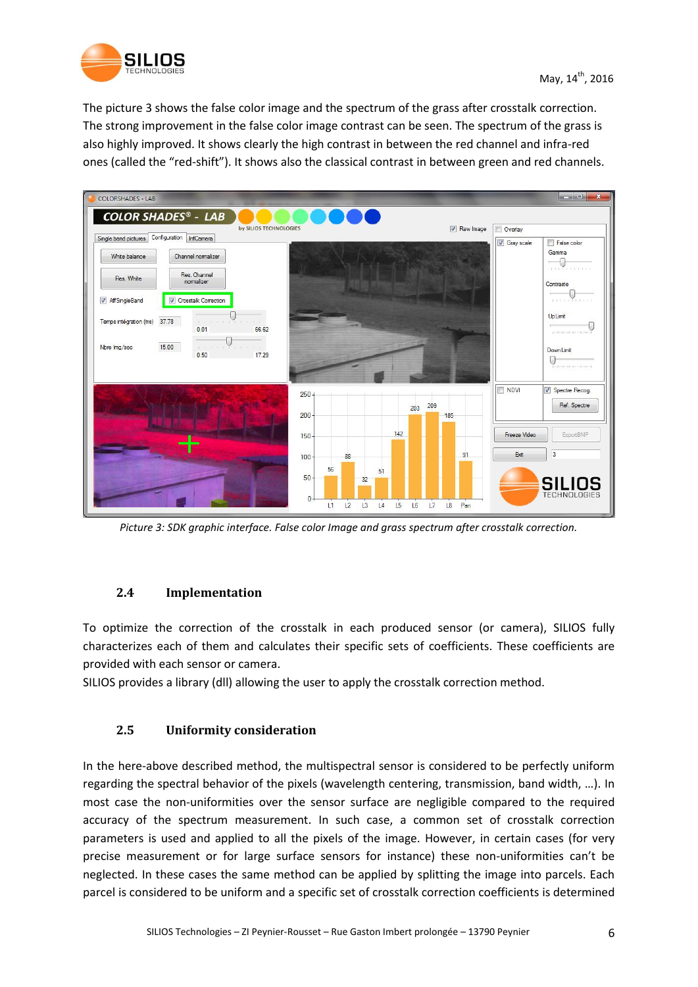

The picture 3 shows the false color image and the spectrum of the grass after crosstalk correction. The strong improvement in the false color image contrast can be seen. The spectrum of the grass is also highly improved. It shows clearly the high contrast in between the red channel and infra-red ones (called the "red-shift"). It shows also the classical contrast in between green and red channels.

| <b>COLORSHADES - LAB</b>                                                                                                                                       |                                                                                                  |                                                     |
|----------------------------------------------------------------------------------------------------------------------------------------------------------------|--------------------------------------------------------------------------------------------------|-----------------------------------------------------|
| <b>COLOR SHADES<sup>®</sup> - LAB</b><br>by SILIOS TECHNOLOGIES                                                                                                | Raw Image                                                                                        | Overlay                                             |
| Configuration InfCamera<br>Single band pictures<br>Channel normalizer<br>White balance<br>Res. Channel<br>Res. White                                           |                                                                                                  | Gray scale<br>False color<br>Gamma                  |
| nomalizer<br>Crosstalk Correction<br>AffSingleBand                                                                                                             |                                                                                                  | Contraste<br><b>CONTRACTOR</b><br><b>Up Limit</b>   |
| 37.78<br>Temps intégration (ms)<br>S and and acts and any<br>0.01<br>66.62<br>15.00<br>Nbre Img/sec<br>the most conservative conservative and<br>17.29<br>0.50 |                                                                                                  | minoning image<br>DownLimit<br>TO HOMESTED HOMEST   |
|                                                                                                                                                                | $250 +$<br>209<br>203<br>200<br>185                                                              | NDVI<br>Spectre Recog.<br>Ref. Spectre              |
|                                                                                                                                                                | 142<br>150<br>91<br>$100 -$<br>88<br>56<br>51                                                    | Freeze Video<br>ExportBMP<br>$\overline{3}$<br>Exit |
|                                                                                                                                                                | 50<br>32<br>$0 -$<br>L <sub>2</sub><br>L3<br>L <sub>5</sub><br>L8<br>L1<br>L6<br>L7<br>Pan<br>L4 | <b>SILIOS</b><br><b>TECHNOLOGIES</b>                |

*Picture 3: SDK graphic interface. False color Image and grass spectrum after crosstalk correction.*

# **2.4 Implementation**

To optimize the correction of the crosstalk in each produced sensor (or camera), SILIOS fully characterizes each of them and calculates their specific sets of coefficients. These coefficients are provided with each sensor or camera.

SILIOS provides a library (dll) allowing the user to apply the crosstalk correction method.

# **2.5 Uniformity consideration**

In the here-above described method, the multispectral sensor is considered to be perfectly uniform regarding the spectral behavior of the pixels (wavelength centering, transmission, band width, …). In most case the non-uniformities over the sensor surface are negligible compared to the required accuracy of the spectrum measurement. In such case, a common set of crosstalk correction parameters is used and applied to all the pixels of the image. However, in certain cases (for very precise measurement or for large surface sensors for instance) these non-uniformities can't be neglected. In these cases the same method can be applied by splitting the image into parcels. Each parcel is considered to be uniform and a specific set of crosstalk correction coefficients is determined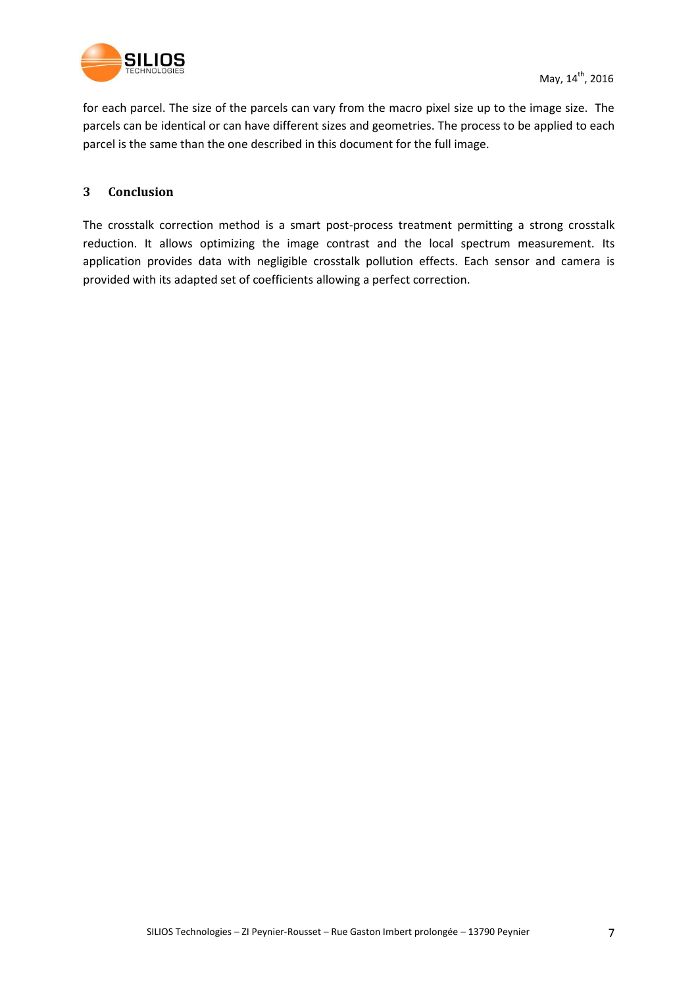

for each parcel. The size of the parcels can vary from the macro pixel size up to the image size. The parcels can be identical or can have different sizes and geometries. The process to be applied to each parcel is the same than the one described in this document for the full image.

#### **3 Conclusion**

The crosstalk correction method is a smart post-process treatment permitting a strong crosstalk reduction. It allows optimizing the image contrast and the local spectrum measurement. Its application provides data with negligible crosstalk pollution effects. Each sensor and camera is provided with its adapted set of coefficients allowing a perfect correction.